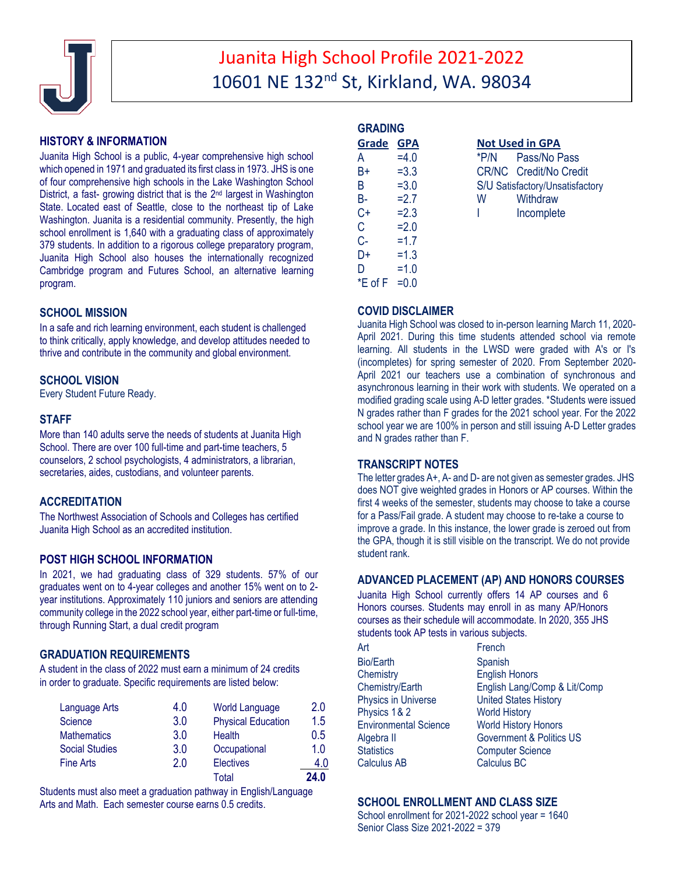

# Juanita High School Profile 2021-2022 10601 NE 132nd St, Kirkland, WA. 98034

# **HISTORY & INFORMATION**

Juanita High School is a public, 4-year comprehensive high school which opened in 1971 and graduated its first class in 1973. JHS is one of four comprehensive high schools in the Lake Washington School District, a fast- growing district that is the 2nd largest in Washington State. Located east of Seattle, close to the northeast tip of Lake Washington. Juanita is a residential community. Presently, the high school enrollment is 1,640 with a graduating class of approximately 379 students. In addition to a rigorous college preparatory program, Juanita High School also houses the internationally recognized Cambridge program and Futures School, an alternative learning program.

# **SCHOOL MISSION**

In a safe and rich learning environment, each student is challenged to think critically, apply knowledge, and develop attitudes needed to thrive and contribute in the community and global environment.

# **SCHOOL VISION**

Every Student Future Ready.

# **STAFF**

More than 140 adults serve the needs of students at Juanita High School. There are over 100 full-time and part-time teachers, 5 counselors, 2 school psychologists, 4 administrators, a librarian, secretaries, aides, custodians, and volunteer parents.

# **ACCREDITATION**

The Northwest Association of Schools and Colleges has certified Juanita High School as an accredited institution.

# **POST HIGH SCHOOL INFORMATION**

In 2021, we had graduating class of 329 students. 57% of our graduates went on to 4-year colleges and another 15% went on to 2 year institutions. Approximately 110 juniors and seniors are attending community college in the 2022 school year, either part-time or full-time, through Running Start, a dual credit program

### **GRADUATION REQUIREMENTS**

A student in the class of 2022 must earn a minimum of 24 credits in order to graduate. Specific requirements are listed below:

| Language Arts         | 4.0 | <b>World Language</b>     | 2.0  |
|-----------------------|-----|---------------------------|------|
| <b>Science</b>        | 3.0 | <b>Physical Education</b> | 1.5  |
| <b>Mathematics</b>    | 3.0 | Health                    | 0.5  |
| <b>Social Studies</b> | 3.0 | Occupational              | 1 0  |
| <b>Fine Arts</b>      | 2.0 | <b>Electives</b>          | 4.0  |
|                       |     | Total                     | 24.0 |

Students must also meet a graduation pathway in English/Language Arts and Math. Each semester course earns 0.5 credits.

| <b>GRADING</b>  |         |      |                        |
|-----------------|---------|------|------------------------|
| Grade GPA       |         |      | <b>Not Used in GPA</b> |
| A               | $=4.0$  | *P/N | Pass/No F              |
| B+              | $= 3.3$ |      | CR/NC Credit/No        |
| B               | $= 3.0$ |      | S/U Satisfactory/Uns   |
| B-              | $=2.7$  | W    | Withdraw               |
| $C +$           | $=2.3$  | I    | Incomplet              |
| С               | $=2.0$  |      |                        |
| $C -$           | $=1.7$  |      |                        |
| D+              | $=1.3$  |      |                        |
| D               | $=1.0$  |      |                        |
| *E of F = $0.0$ |         |      |                        |
|                 |         |      |                        |

**No Pass** t/No Credit y/Unsatisfactory nplete

### **COVID DISCLAIMER**

Juanita High School was closed to in-person learning March 11, 2020- April 2021. During this time students attended school via remote learning. All students in the LWSD were graded with A's or I's (incompletes) for spring semester of 2020. From September 2020- April 2021 our teachers use a combination of synchronous and asynchronous learning in their work with students. We operated on a modified grading scale using A-D letter grades. \*Students were issued N grades rather than F grades for the 2021 school year. For the 2022 school year we are 100% in person and still issuing A-D Letter grades and N grades rather than F.

### **TRANSCRIPT NOTES**

The letter grades A+, A- and D- are not given as semester grades. JHS does NOT give weighted grades in Honors or AP courses. Within the first 4 weeks of the semester, students may choose to take a course for a Pass/Fail grade. A student may choose to re-take a course to improve a grade. In this instance, the lower grade is zeroed out from the GPA, though it is still visible on the transcript. We do not provide student rank.

### **ADVANCED PLACEMENT (AP) AND HONORS COURSES**

Juanita High School currently offers 14 AP courses and 6 Honors courses. Students may enroll in as many AP/Honors courses as their schedule will accommodate. In 2020, 355 JHS students took AP tests in various subjects.

| Art                          | French                              |
|------------------------------|-------------------------------------|
| <b>Bio/Earth</b>             | Spanish                             |
| Chemistry                    | <b>English Honors</b>               |
| Chemistry/Earth              | English Lang/Comp & Lit/Comp        |
| <b>Physics in Universe</b>   | <b>United States History</b>        |
| Physics 1&2                  | <b>World History</b>                |
| <b>Environmental Science</b> | <b>World History Honors</b>         |
| Algebra II                   | <b>Government &amp; Politics US</b> |
| <b>Statistics</b>            | <b>Computer Science</b>             |
| <b>Calculus AB</b>           | <b>Calculus BC</b>                  |
|                              |                                     |

# **SCHOOL ENROLLMENT AND CLASS SIZE**

School enrollment for 2021-2022 school year = 1640 Senior Class Size 2021-2022 = 379